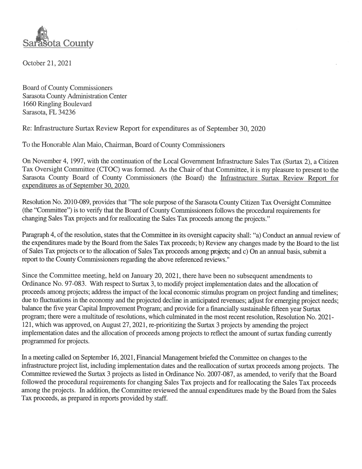

October 21, 2021

**Board of County Commissioners** Sarasota County Administration Center 1660 Ringling Boulevard Sarasota, FL 34236

Re: Infrastructure Surtax Review Report for expenditures as of September 30, 2020

To the Honorable Alan Maio, Chairman, Board of County Commissioners

On November 4, 1997, with the continuation of the Local Government Infrastructure Sales Tax (Surtax 2), a Citizen Tax Oversight Committee (CTOC) was formed. As the Chair of that Committee, it is my pleasure to present to the Sarasota County Board of County Commissioners (the Board) the Infrastructure Surtax Review Report for expenditures as of September 30, 2020.

Resolution No. 2010-089, provides that "The sole purpose of the Sarasota County Citizen Tax Oversight Committee (the "Committee") is to verify that the Board of County Commissioners follows the procedural requirements for changing Sales Tax projects and for reallocating the Sales Tax proceeds among the projects."

Paragraph 4, of the resolution, states that the Committee in its oversight capacity shall: "a) Conduct an annual review of the expenditures made by the Board from the Sales Tax proceeds; b) Review any changes made by the Board to the list of Sales Tax projects or to the allocation of Sales Tax proceeds among projects; and c) On an annual basis, submit a report to the County Commissioners regarding the above referenced reviews."

Since the Committee meeting, held on January 20, 2021, there have been no subsequent amendments to Ordinance No. 97-083. With respect to Surtax 3, to modify project implementation dates and the allocation of proceeds among projects; address the impact of the local economic stimulus program on project funding and timelines; due to fluctuations in the economy and the projected decline in anticipated revenues; adjust for emerging project needs; balance the five year Capital Improvement Program; and provide for a financially sustainable fifteen year Surtax program; there were a multitude of resolutions, which culminated in the most recent resolution, Resolution No. 2021-121, which was approved, on August 27, 2021, re-prioritizing the Surtax 3 projects by amending the project implementation dates and the allocation of proceeds among projects to reflect the amount of surtax funding currently programmed for projects.

In a meeting called on September 16, 2021, Financial Management briefed the Committee on changes to the infrastructure project list, including implementation dates and the reallocation of surtax proceeds among projects. The Committee reviewed the Surtax 3 projects as listed in Ordinance No. 2007-087, as amended, to verify that the Board followed the procedural requirements for changing Sales Tax projects and for reallocating the Sales Tax proceeds among the projects. In addition, the Committee reviewed the annual expenditures made by the Board from the Sales Tax proceeds, as prepared in reports provided by staff.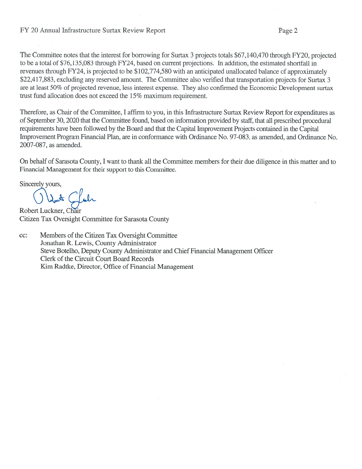## FY 20 Annual Infrastructure Surtax Review Report

The Committee notes that the interest for borrowing for Surtax 3 projects totals \$67,140,470 through FY20, projected to be a total of \$76,135,083 through FY24, based on current projections. In addition, the estimated shortfall in revenues through FY24, is projected to be \$102,774,580 with an anticipated unallocated balance of approximately \$22,417,883, excluding any reserved amount. The Committee also verified that transportation projects for Surtax 3 are at least 50% of projected revenue, less interest expense. They also confirmed the Economic Development surtax trust fund allocation does not exceed the 15% maximum requirement.

Therefore, as Chair of the Committee, I affirm to you, in this Infrastructure Surtax Review Report for expenditures as of September 30, 2020 that the Committee found, based on information provided by staff, that all prescribed procedural requirements have been followed by the Board and that the Capital Improvement Projects contained in the Capital Improvement Program Financial Plan, are in conformance with Ordinance No. 97-083, as amended, and Ordinance No. 2007-087, as amended.

On behalf of Sarasota County, I want to thank all the Committee members for their due diligence in this matter and to Financial Management for their support to this Committee.

Sincerely yours,

Robert Luckner, Chair Citizen Tax Oversight Committee for Sarasota County

Members of the Citizen Tax Oversight Committee cc: Jonathan R. Lewis, County Administrator Steve Botelho, Deputy County Administrator and Chief Financial Management Officer Clerk of the Circuit Court Board Records Kim Radtke, Director, Office of Financial Management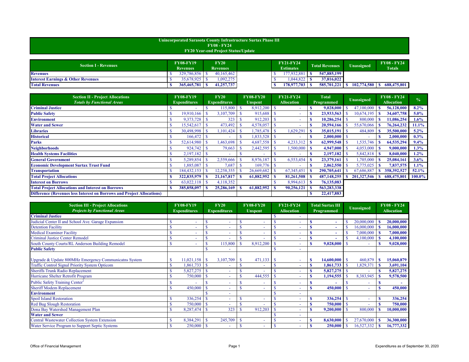| <b>Section I - Revenues</b>                   | <b>FY08-FY19</b><br><b>Revenues</b> |             | $\mathbf{FY20}$<br><b>Revenues</b> |            |  |  | <b>FY21-FY24</b><br><b>Estimates</b> | <b>Total Revenues</b> | Unassigned  | <b>FY08 - FY24</b><br><b>Totals</b> |
|-----------------------------------------------|-------------------------------------|-------------|------------------------------------|------------|--|--|--------------------------------------|-----------------------|-------------|-------------------------------------|
| <b>Revenues</b>                               |                                     | 329,786,856 |                                    | 40,165,462 |  |  | 177,932,881                          | 547,885,199           |             |                                     |
| <b>Interest Earnings &amp; Other Revenues</b> |                                     | 35,678,925  |                                    | 1,092,275  |  |  | .044,822                             | 37,816,022            |             |                                     |
| <b>Total Revenues</b>                         |                                     | 365,465,781 |                                    | 41,257,737 |  |  | 178,977,703                          | 585,701,221           | 102,774,580 | 688,475,801                         |

| <b>Section II - Project Allocations</b><br><b>Totals by Functional Areas</b>  | <b>FY08-FY19</b><br><b>Expenditures</b> |             |                        | <b>FY20</b><br><b>Expenditures</b> | <b>FY08-FY20</b><br><b>Unspent</b> |            |  | <b>FY21-FY24</b><br><b>Allocation</b> | <b>Total</b><br><b>Programmed</b> |               |  | <b>Unassigned</b> | <b>FY08 - FY24</b><br><b>Allocation</b> | $\frac{0}{0}$ |  |
|-------------------------------------------------------------------------------|-----------------------------------------|-------------|------------------------|------------------------------------|------------------------------------|------------|--|---------------------------------------|-----------------------------------|---------------|--|-------------------|-----------------------------------------|---------------|--|
| <b>Criminal Justice</b>                                                       |                                         |             |                        | 115,800                            |                                    | 8,912,200  |  |                                       |                                   | 9,028,000     |  | 47,100,000        | 56,128,000                              | $8.2\%$       |  |
| <b>Public Safety</b>                                                          |                                         | 19,910,166  | $\mathbf{\mathcal{S}}$ | 3,107,709                          |                                    | 915,688    |  |                                       |                                   |               |  | 10,674,195        | 34,607,758                              | $5.0\%$       |  |
| <b>Environment</b>                                                            |                                         | 9,373,728   | -8                     | 323                                |                                    | 912,203    |  |                                       |                                   | 10,286,254    |  | 800,000           | 11,086,254                              | $1.6\%$       |  |
| <b>Water and Sewer</b>                                                        |                                         | 15,542,617  |                        | 473,492                            |                                    | 4,578,057  |  |                                       |                                   | 20,594,166    |  | 55,670,066        | 76,264,232                              | 11.1%         |  |
| <b>Libraries</b>                                                              |                                         | 30,498,998  | $\mathbf{\hat{s}}$     | 1,101,424                          |                                    | 1,785,478  |  | 1,629,291                             |                                   | 35,015,191    |  | 484,809           | 35,500,000                              | $5.2\%$       |  |
| <b>Historical</b>                                                             |                                         | 166,472     |                        |                                    |                                    | 1,833,528  |  |                                       |                                   | 2,000,000     |  |                   | 2,000,000                               | $0.3\%$       |  |
| <b>Parks</b>                                                                  |                                         | 52,614,980  |                        | 1,463,698                          |                                    | 4,687,558  |  | 4,233,312                             |                                   | 62,999,548    |  | 1,535,746         | 64,535,294                              | 9.4%          |  |
| <b>Neighborhoods</b>                                                          |                                         | 924,742     |                        | 79,663                             |                                    | 2,442,595  |  | 1,500,000                             | <b>S</b>                          | 4,947,000     |  | 4,053,000         | 9,000,000                               | 1.3%          |  |
| <b>Health Systems Facilities</b>                                              |                                         | 2,197,182   |                        |                                    |                                    |            |  |                                       |                                   | 2,197,182     |  | 5,842,818         | 8,040,000                               | $1.2\%$       |  |
| <b>General Government</b>                                                     |                                         | 5,289,854   | $\mathbf{\hat{S}}$     | 2,559,666                          |                                    | 8,976,187  |  | 6,553,454                             |                                   | 23,379,161    |  | $1,705,000$       | 25,084,161                              | 3.6%          |  |
| <b>Economic Development Surtax Trust Fund</b>                                 |                                         | 885,087     |                        | 7,687                              |                                    | 169,776    |  |                                       |                                   | 2,062,550     |  | 5,775,025         | 7,837,575                               | $1.1\%$       |  |
| <b>Transportation</b>                                                         |                                         | 184,432,153 | <sup>S</sup>           | 12,258,355                         |                                    | 26,669,682 |  | 67, 345, 451                          |                                   | 290,705,641   |  | 67,686,887        | 358,392,527                             | $52.1\%$      |  |
| <b>Total Project Allocations</b>                                              |                                         |             |                        | 21,167,817                         |                                    | 61,882,952 |  | 81,261,508                            |                                   | 487, 148, 255 |  | 201,327,546 \$    | 688,475,801                             | $100.0\%$     |  |
| <b>Interest on Borrows</b>                                                    |                                         | 63,022,118  | $\mathbf{\hat{s}}$     | 4,118,352                          |                                    |            |  | 8,994,613                             | - S                               | 76,135,083    |  |                   |                                         |               |  |
| <b>Total Project Allocations and Interest on Borrows</b>                      |                                         | 385,858,097 | <b>S</b>               | 25,286,169                         |                                    | 61,882,952 |  | 90,256,121                            |                                   | 563, 283, 338 |  |                   |                                         |               |  |
| <b>Difference (Revenues less Interest on Borrows and Project Allocations)</b> |                                         |             |                        |                                    |                                    |            |  |                                       |                                   | 22,417,883    |  |                   |                                         |               |  |

| <b>Section III - Project Allocations</b><br><b>Projects by Functional Areas</b> | <b>FY08-FY19</b><br><b>Expenditures</b> |                        | <b>FY20</b><br><b>Expenditures</b> |    | <b>FY08-FY20</b><br><b>Unspent</b> |               | <b>FY21-FY24</b><br><b>Allocation</b> |   | <b>Total Surtax III</b><br>Programmed |  | <b>Unassigned</b> | <b>FY08 - FY24</b><br><b>Allocation</b> |
|---------------------------------------------------------------------------------|-----------------------------------------|------------------------|------------------------------------|----|------------------------------------|---------------|---------------------------------------|---|---------------------------------------|--|-------------------|-----------------------------------------|
| <b>Criminal Justice</b>                                                         |                                         |                        |                                    |    |                                    |               |                                       |   |                                       |  |                   |                                         |
| Judicial Center II and School Ave. Garage Expansion                             |                                         |                        | $\sim$                             |    | $\sim$                             |               | ۰                                     |   | $\overline{\phantom{a}}$              |  | 20,000,000        | 20,000,000                              |
| <b>Detention Facility</b>                                                       |                                         |                        | <b>1</b>                           |    |                                    |               | ۰                                     |   |                                       |  | 16,000,000        | 16,000,000                              |
| <b>Medical Examiner Facility</b>                                                |                                         |                        |                                    |    |                                    |               |                                       |   |                                       |  | 7,000,000         | 7,000,000                               |
| <b>Criminal Justice Center Remodel</b>                                          |                                         |                        |                                    |    |                                    |               |                                       |   |                                       |  | 4,100,000         | 4,100,000                               |
| South County Courts/RL Anderson Building Remodel                                |                                         |                        | 115,800                            |    | 8,912,200                          |               | ۰                                     |   | 9,028,000                             |  |                   | 9,028,000                               |
| <b>Public Safety</b>                                                            |                                         |                        |                                    |    |                                    |               |                                       |   |                                       |  |                   |                                         |
| Upgrade & Update 800MHz Emergency Communicatns System                           | 11,021,158                              | $\mathbf{\mathcal{S}}$ | 3,107,709                          | -S | 471,133                            | l \$          | ۰                                     |   | 14,600,000                            |  | 460,879           | 15,060,879                              |
| <b>Traffic Control Signal Priority System Opticom</b>                           | ,861,733                                |                        |                                    |    |                                    |               |                                       | M | 1,861,733                             |  | 1,829,371         | 3,691,104                               |
| <b>Sheriffs Trunk Radio Replacement</b>                                         | 5,827,275                               |                        |                                    |    |                                    |               |                                       |   | 5,827,275                             |  |                   | 5,827,275                               |
| Hurricane Shelter Retrofit Program                                              | 750,000                                 |                        |                                    |    | 444,555                            |               | ۰                                     |   | 1,194,555                             |  | 8,383,945         | 9,578,500                               |
| Public Safety Training Center <sup>2</sup>                                      |                                         |                        |                                    |    |                                    |               |                                       |   |                                       |  |                   |                                         |
| <b>Sheriff Modem Replacement</b>                                                | 450,000                                 |                        |                                    |    |                                    |               |                                       |   | 450,000                               |  |                   | 450,000                                 |
| <b>Environment</b>                                                              |                                         |                        |                                    |    |                                    |               |                                       |   |                                       |  |                   |                                         |
| <b>Spoil Island Restoration</b>                                                 | 336,254                                 |                        |                                    |    |                                    |               |                                       |   | 336,254                               |  |                   | 336,254                                 |
| <b>Red Bug Slough Restoration</b>                                               | 750,000                                 |                        | $\overline{a}$                     |    |                                    |               | ۳                                     |   | 750,000                               |  | $\sim$            | 750,000                                 |
| Dona Bay Watershed Management Plan                                              | 8,287,474                               |                        | 323                                |    | 912,203                            |               | $\overline{\phantom{0}}$              |   | 9,200,000                             |  | 800,000           | 10,000,000                              |
| <b>Water and Sewer</b>                                                          |                                         |                        |                                    |    |                                    |               |                                       |   |                                       |  |                   |                                         |
| <b>Central Wastewater Collection System Extension</b>                           | 8,384,291                               |                        | 245,709                            |    | $\sim$                             |               |                                       |   | 8,630,000                             |  | 27,670,000        | 36,300,000                              |
| Water Service Program to Support Septic Systems                                 | $250,000$ \ \ \$                        |                        |                                    |    |                                    | <sup>\$</sup> | ۰                                     |   | 250,000                               |  | 16,527,332        | 16,777,332                              |

| Unincorporated Sarasota County Infrastructure Surtax Phase III |  |
|----------------------------------------------------------------|--|
| $FY08 - FY24$                                                  |  |
| <b>FY20 Year-end Project Status/Update</b>                     |  |
|                                                                |  |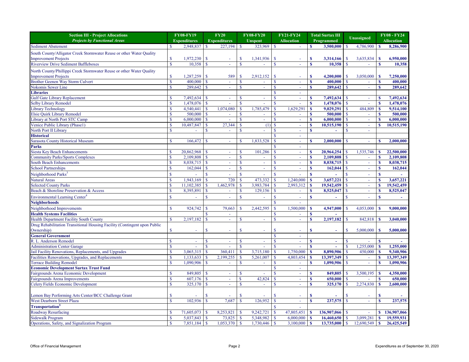| Unassigned<br><b>Projects by Functional Areas</b><br><b>Expenditures</b><br><b>Expenditures</b><br><b>Allocation</b><br><b>Allocation</b><br><b>Unspent</b><br>Programmed<br><b>Sediment Abatement</b><br>2,948,837<br>323,969<br>$\mathbf{\mathcal{S}}$<br>4,786,900<br>227,194<br>3,500,000<br>8,286,900<br><sup>S</sup><br>-8<br>South County/Alligator Creek Stormwater Reuse or other Water Quality<br><b>Improvement Projects</b><br>1,972,230<br>1,341,936<br>3,635,834<br>$\boldsymbol{\mathsf{S}}$<br>3,314,166<br>6,950,000<br><sup>S</sup><br>$\mathcal{S}$<br>  S<br><sup>S</sup><br>$\mathbf s$<br>-8<br>$\overline{\phantom{a}}$<br><b>Riverview Drive Sediment Baffleboxes</b><br>10,358<br>$\mathbf{\$}$<br>10,358<br>$\mathbf{s}$<br>$\mathbf{\mathcal{S}}$<br>10,358<br><sup>\$</sup><br><sup>\$</sup><br><b>S</b> |
|--------------------------------------------------------------------------------------------------------------------------------------------------------------------------------------------------------------------------------------------------------------------------------------------------------------------------------------------------------------------------------------------------------------------------------------------------------------------------------------------------------------------------------------------------------------------------------------------------------------------------------------------------------------------------------------------------------------------------------------------------------------------------------------------------------------------------------------|
|                                                                                                                                                                                                                                                                                                                                                                                                                                                                                                                                                                                                                                                                                                                                                                                                                                      |
|                                                                                                                                                                                                                                                                                                                                                                                                                                                                                                                                                                                                                                                                                                                                                                                                                                      |
|                                                                                                                                                                                                                                                                                                                                                                                                                                                                                                                                                                                                                                                                                                                                                                                                                                      |
|                                                                                                                                                                                                                                                                                                                                                                                                                                                                                                                                                                                                                                                                                                                                                                                                                                      |
|                                                                                                                                                                                                                                                                                                                                                                                                                                                                                                                                                                                                                                                                                                                                                                                                                                      |
| North County/Phillippi Creek Stormwater Reuse or other Water Quality                                                                                                                                                                                                                                                                                                                                                                                                                                                                                                                                                                                                                                                                                                                                                                 |
| <b>Improvement Projects</b><br>,287,259<br>589<br>2,912,152<br>3,050,000<br>7,250,000<br>$\boldsymbol{\mathsf{S}}$<br>$\mathcal{S}$<br>4,200,000<br>$\mathcal{S}$<br>l \$<br>S<br>-S                                                                                                                                                                                                                                                                                                                                                                                                                                                                                                                                                                                                                                                 |
| <b>Brother Geenen Way Storm Culvert</b><br>400,000<br>$\overline{\mathbf{s}}$<br>400,000<br>$\blacksquare$<br>$\mathbf{\$}$<br>400,000<br>$\mathbf{\$\}$                                                                                                                                                                                                                                                                                                                                                                                                                                                                                                                                                                                                                                                                             |
| Nokomis Sewer Line<br>289,642<br>$\mathbf{\hat{s}}$<br>$\mathbf S$<br><sup>\$</sup><br><sup>S</sup><br>289,642<br>$\mathbf{\S}$<br>289,642                                                                                                                                                                                                                                                                                                                                                                                                                                                                                                                                                                                                                                                                                           |
| <b>Libraries</b>                                                                                                                                                                                                                                                                                                                                                                                                                                                                                                                                                                                                                                                                                                                                                                                                                     |
| 7,492,634<br><b>Gulf Gate Library Replacement</b><br>7,492,634<br>7,492,634<br>$\mathbf{\hat{S}}$<br>$\mathbf{\mathcal{S}}$<br>٠                                                                                                                                                                                                                                                                                                                                                                                                                                                                                                                                                                                                                                                                                                     |
| <b>Selby Library Remodel</b><br>1,478,076<br>1,478,076<br>1,478,076<br>$\sqrt{s}$<br>$\mathcal{S}$                                                                                                                                                                                                                                                                                                                                                                                                                                                                                                                                                                                                                                                                                                                                   |
| 1,629,291<br><b>Library Technology</b><br>1,074,080<br>1,785,479<br>9,029,291<br>484,809<br>4,540,441<br>$\mathcal{S}$<br>9,514,100<br>$\mathbf S$                                                                                                                                                                                                                                                                                                                                                                                                                                                                                                                                                                                                                                                                                   |
| Elsie Quirk Library Remodel<br>500,000<br>500,000<br>500,000<br>l S<br>$\mathbf{\mathcal{S}}$                                                                                                                                                                                                                                                                                                                                                                                                                                                                                                                                                                                                                                                                                                                                        |
| Library at North Port STC Camp<br>6,000,000<br>6,000,000<br>6,000,000<br><sup>S</sup>                                                                                                                                                                                                                                                                                                                                                                                                                                                                                                                                                                                                                                                                                                                                                |
| Venice Public Library (Phase1)<br>10,487,847<br>27,344<br>10,515,190<br>10,515,190<br>(1)                                                                                                                                                                                                                                                                                                                                                                                                                                                                                                                                                                                                                                                                                                                                            |
| North Port II Library                                                                                                                                                                                                                                                                                                                                                                                                                                                                                                                                                                                                                                                                                                                                                                                                                |
| <b>Historical</b>                                                                                                                                                                                                                                                                                                                                                                                                                                                                                                                                                                                                                                                                                                                                                                                                                    |
| <b>Sarasota County Historical Museum</b><br>1,833,528<br>166,472<br>$\mathbf{\$}$<br>2,000,000<br>2,000,000<br>$\mathbf{\mathcal{S}}$                                                                                                                                                                                                                                                                                                                                                                                                                                                                                                                                                                                                                                                                                                |
| <b>Parks</b>                                                                                                                                                                                                                                                                                                                                                                                                                                                                                                                                                                                                                                                                                                                                                                                                                         |
| <b>Siesta Key Beach Enhancements</b><br>20,862,968<br>101,286<br>,535,746<br>22,500,000<br>20,964,254<br>S                                                                                                                                                                                                                                                                                                                                                                                                                                                                                                                                                                                                                                                                                                                           |
| <b>Community Parks/Sports Complexes</b><br>2,109,808<br>2,109,808                                                                                                                                                                                                                                                                                                                                                                                                                                                                                                                                                                                                                                                                                                                                                                    |
| <b>South Beach Enhancements</b><br>8,038,715<br>8,038,715<br>8,038,715<br>$\overline{\phantom{a}}$                                                                                                                                                                                                                                                                                                                                                                                                                                                                                                                                                                                                                                                                                                                                   |
| <b>School Partnerships</b><br>162,044<br>162,044<br>$\mathbf{\mathcal{S}}$<br>162,044<br>$\overline{\phantom{a}}$                                                                                                                                                                                                                                                                                                                                                                                                                                                                                                                                                                                                                                                                                                                    |
| Neighborhood Parks <sup>3</sup><br><sup>\$</sup><br>S                                                                                                                                                                                                                                                                                                                                                                                                                                                                                                                                                                                                                                                                                                                                                                                |
| 1,943,169<br>720<br>473,332<br>3,657,221<br>3,657,221<br><b>Natural Areas</b><br>1,240,000<br>$\mathbf{\$}$<br>$\mathbf s$<br><sup>S</sup>                                                                                                                                                                                                                                                                                                                                                                                                                                                                                                                                                                                                                                                                                           |
| <b>Selected County Parks</b><br>1,462,978<br>3,983,784<br>19,542,459<br>19,542,459<br>11,102,385<br>2,993,312<br>$\mathbf{\$}$<br>$\mathbf S$<br>-S                                                                                                                                                                                                                                                                                                                                                                                                                                                                                                                                                                                                                                                                                  |
| Beach & Shoreline Preservation & Access<br>8,395,891<br>129,156<br>$\mathcal{S}$<br>8,525,047<br>8,525,047<br>$\overline{\mathbf{s}}$<br>$\mathbf S$<br>$\mathcal{S}$<br>$\mathbf{\$}$                                                                                                                                                                                                                                                                                                                                                                                                                                                                                                                                                                                                                                               |
| Environmental Learning Center <sup>4</sup><br>$\mathbf{\$\}$<br>$\mathcal{S}$<br>$\mathbf{\hat{S}}$<br>$\mathbf{\S}$<br>$\mathbf{\$}$<br>$\mathbf{\$}$                                                                                                                                                                                                                                                                                                                                                                                                                                                                                                                                                                                                                                                                               |
| ٠<br><b>Neighborhoods</b>                                                                                                                                                                                                                                                                                                                                                                                                                                                                                                                                                                                                                                                                                                                                                                                                            |
| $\mathbf{\$}$<br>2,442,595<br>$\mathbf{\$}$<br>4,947,000<br>$\mathbf{\mathcal{S}}$<br>Neighborhood Improvements<br>924,742<br>79,663<br>1,500,000<br>4,053,000<br>9,000,000                                                                                                                                                                                                                                                                                                                                                                                                                                                                                                                                                                                                                                                          |
| <b>Health Systems Facilities</b><br><sup>S</sup>                                                                                                                                                                                                                                                                                                                                                                                                                                                                                                                                                                                                                                                                                                                                                                                     |
| 2,197,182<br>2,197,182<br><b>Health Department Facility South County</b><br>842,818<br>3,040,000<br>$\mathbb{S}$<br>$\mathbf{\$}$<br>S<br>$\mathbf{\$}$<br>$\mathbf{\$}$<br>۰                                                                                                                                                                                                                                                                                                                                                                                                                                                                                                                                                                                                                                                        |
| Drug Rehabilitation Transitional Housing Facility (Contingent upon Public                                                                                                                                                                                                                                                                                                                                                                                                                                                                                                                                                                                                                                                                                                                                                            |
| Ownership)<br>$\mathbf{\$}$<br>$\mathbf{\$}$<br>5,000,000<br>5,000,000<br>-S<br>-8<br>$\overline{\phantom{a}}$<br>$\sim$<br>$\sim$<br>$\sim$                                                                                                                                                                                                                                                                                                                                                                                                                                                                                                                                                                                                                                                                                         |
| <b>General Government</b>                                                                                                                                                                                                                                                                                                                                                                                                                                                                                                                                                                                                                                                                                                                                                                                                            |
| R. L. Anderson Remodel<br>S<br>S<br>$\mathcal{S}$<br>$\overline{\phantom{a}}$<br>٠<br>$\sim$<br>$\sim$                                                                                                                                                                                                                                                                                                                                                                                                                                                                                                                                                                                                                                                                                                                               |
| ,255,000<br>1,255,000<br><b>Administration Center Garage</b><br><sup>\$</sup><br>$\mathbf{\$}$<br>$\sim$                                                                                                                                                                                                                                                                                                                                                                                                                                                                                                                                                                                                                                                                                                                             |
| Jail Facility Renovations, Replacements, and Upgrades<br>3,715,180<br>1,750,000<br>8,890,906<br>3,065,315<br>360,41<br>450,000<br>9,340,906<br>$\mathcal{S}$<br>$\mathbf S$                                                                                                                                                                                                                                                                                                                                                                                                                                                                                                                                                                                                                                                          |
| Facilities Renovations, Upgrades, and Replacements<br>13,397,349<br>1,133,633<br>2,199,255<br>5,261,007<br>4,803,454<br>13,397,349<br>$\mathbf{\mathcal{S}}$<br>$\mathbf{\$}$                                                                                                                                                                                                                                                                                                                                                                                                                                                                                                                                                                                                                                                        |
| <b>Terrace Building Remodel</b><br>1,090,906<br><sup>\$</sup><br>1,090,906<br>$\mathbb{S}$<br>1,090,906<br>$\mathbf{\$}$<br>$\mathbf{s}$<br>$\mathbf{\mathcal{S}}$<br>۰                                                                                                                                                                                                                                                                                                                                                                                                                                                                                                                                                                                                                                                              |
| <b>Economic Development Surtax Trust Fund</b><br>$\sim$                                                                                                                                                                                                                                                                                                                                                                                                                                                                                                                                                                                                                                                                                                                                                                              |
| Fairgrounds Arena Economic Development<br>849,805<br>849,805<br>3,500,195<br>4,350,000<br>$\mathbf S$<br>$\mathbf{\hat{s}}$<br>$\mathbf{\mathcal{S}}$<br>$\overline{\phantom{a}}$                                                                                                                                                                                                                                                                                                                                                                                                                                                                                                                                                                                                                                                    |
| 607,176<br>42,824<br>650,000<br><b>Fairgrounds Arena Improvements</b><br>$\mathbf{\$}$<br>650,000<br>$\mathsf{S}$<br>$\vert s \vert$<br>$\blacksquare$<br>$\sim$                                                                                                                                                                                                                                                                                                                                                                                                                                                                                                                                                                                                                                                                     |
| 2,274,830<br><b>Celery Fields Economic Development</b><br>325,170<br>325,170<br><sup>\$</sup><br><sup>\$</sup><br>2,600,000<br>$\mathbf{\$}$<br>$\mathbf{\hat{s}}$<br>$\mathbf$<br>$\mathbf{\mathcal{S}}$<br>$\overline{\phantom{a}}$                                                                                                                                                                                                                                                                                                                                                                                                                                                                                                                                                                                                |
|                                                                                                                                                                                                                                                                                                                                                                                                                                                                                                                                                                                                                                                                                                                                                                                                                                      |
| Lemon Bay Performing Arts Center/BCC Challenge Grant<br>S<br><sup>S</sup><br>-S<br>-8<br>-8<br>$\blacksquare$<br>٠<br>$\sim$<br>$\sim$<br>$\sim$                                                                                                                                                                                                                                                                                                                                                                                                                                                                                                                                                                                                                                                                                     |
| 237,575<br>West Dearborn Street Plaza<br>102,936<br>126,952<br>$\overline{237,575}$<br>$\mathbf{\$}$<br>7,687<br>$\mathbf{s}$<br>$\mathbf{\hat{S}}$<br>$\mathcal{S}$<br>$\mathbf{\$}$<br>$\mathbf{s}$<br>$\sim$                                                                                                                                                                                                                                                                                                                                                                                                                                                                                                                                                                                                                      |
| Transportation <sup>5</sup>                                                                                                                                                                                                                                                                                                                                                                                                                                                                                                                                                                                                                                                                                                                                                                                                          |
| 9,242,721<br>136,907,066<br><b>Roadway Resurfacing</b><br>71,605,073<br>$136,907,066$ \$<br>8,253,821<br>$\mathbf{\S}$<br>47,805,451<br>$\mathcal{S}$<br><b>S</b>                                                                                                                                                                                                                                                                                                                                                                                                                                                                                                                                                                                                                                                                    |
| <b>Sidewalk Program</b><br>5,037,843<br>5,348,982<br>3,099,281<br>19,559,931<br>73,825<br>$\mathcal{S}$<br>6,000,000<br>16,460,650<br>$\mathbf s$<br>  S                                                                                                                                                                                                                                                                                                                                                                                                                                                                                                                                                                                                                                                                             |
| Operations, Safety, and Signalization Program<br>7,851,184<br>1,730,446<br>13,735,000<br>12,690,549<br>26,425,549<br>$\mathbf{\hat{S}}$<br>3,100,000<br>$\mathbf s$<br>$\vert$ s<br>l S                                                                                                                                                                                                                                                                                                                                                                                                                                                                                                                                                                                                                                              |